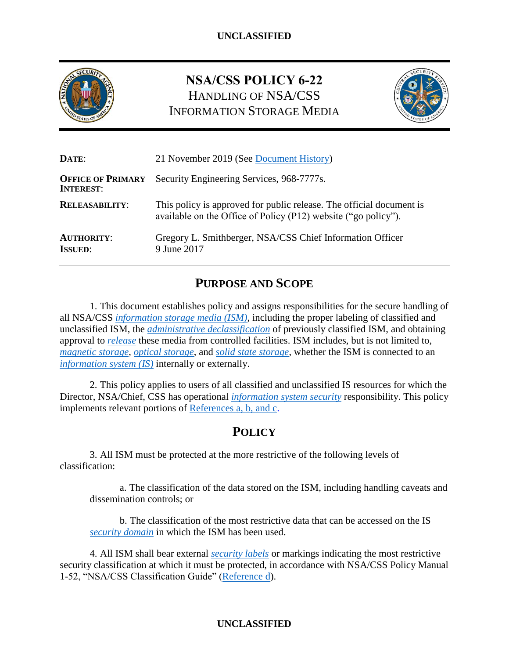

# **NSA/CSS POLICY 6-22** HANDLING OF NSA/CSS INFORMATION STORAGE MEDIA



| DATE:                                        | 21 November 2019 (See Document History)                                                                                                |  |
|----------------------------------------------|----------------------------------------------------------------------------------------------------------------------------------------|--|
| <b>OFFICE OF PRIMARY</b><br><b>INTEREST:</b> | Security Engineering Services, 968-7777s.                                                                                              |  |
| <b>RELEASABILITY:</b>                        | This policy is approved for public release. The official document is<br>available on the Office of Policy (P12) website ("go policy"). |  |
| <b>AUTHORITY:</b><br><b>ISSUED:</b>          | Gregory L. Smithberger, NSA/CSS Chief Information Officer<br>9 June 2017                                                               |  |

# **PURPOSE AND SCOPE**

1. This document establishes policy and assigns responsibilities for the secure handling of all NSA/CSS *[information storage media \(ISM\)](#page-8-0)*, including the proper labeling of classified and unclassified ISM, the *administrative [declassification](#page-8-1)* of previously classified ISM, and obtaining approval to *[release](#page-9-0)* these media from controlled facilities. ISM includes, but is not limited to, *[magnetic](#page-9-1) storage*, *optical [storage](#page-9-2)*, and *[solid state](#page-10-1) storage*, whether the ISM is connected to an *[information system \(IS\)](#page-8-2)* internally or externally.

2. This policy applies to users of all classified and unclassified IS resources for which the Director, NSA/Chief, CSS has operational *[information system security](#page-9-3)* responsibility. This policy implements relevant portions of [References a, b, and c.](#page-7-0)

# **POLICY**

3. All ISM must be protected at the more restrictive of the following levels of classification:

a. The classification of the data stored on the ISM, including handling caveats and dissemination controls; or

b. The classification of the most restrictive data that can be accessed on the IS *[security domain](#page-9-4)* in which the ISM has been used.

4. All ISM shall bear external *[security labels](#page-10-2)* or markings indicating the most restrictive security classification at which it must be protected, in accordance with NSA/CSS Policy Manual 1-52, "NSA/CSS Classification Guide" [\(Reference d\)](#page-7-1).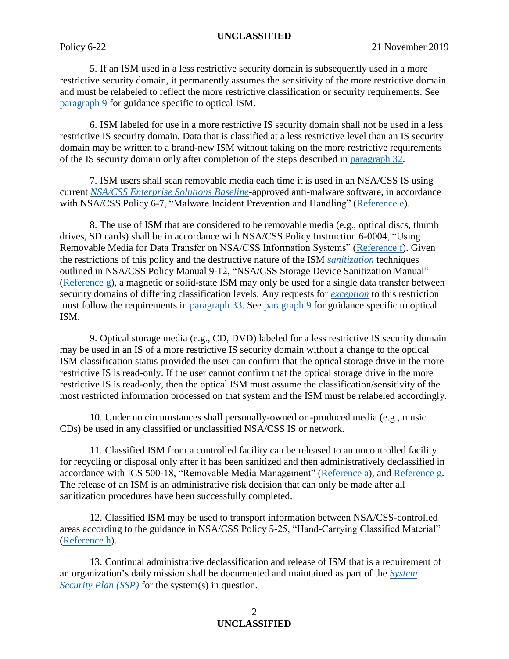5. If an ISM used in a less restrictive security domain is subsequently used in a more restrictive security domain, it permanently assumes the sensitivity of the more restrictive domain and must be relabeled to reflect the more restrictive classification or security requirements. See [paragraph 9](#page-1-0) for guidance specific to optical ISM.

6. ISM labeled for use in a more restrictive IS security domain shall not be used in a less restrictive IS security domain. Data that is classified at a less restrictive level than an IS security domain may be written to a brand-new ISM without taking on the more restrictive requirements of the IS security domain only after completion of the steps described in [paragraph 32.](#page-4-0)

7. ISM users shall scan removable media each time it is used in an NSA/CSS IS using current *[NSA/CSS Enterprise Solutions Baseline](#page-9-5)*-approved anti-malware software, in accordance with NSA/CSS Policy 6-7, "Malware Incident Prevention and Handling" [\(Reference e\)](#page-7-2).

8. The use of ISM that are considered to be removable media (e.g., optical discs, thumb drives, SD cards) shall be in accordance with NSA/CSS Policy Instruction 6-0004, "Using Removable Media for Data Transfer on NSA/CSS Information Systems" [\(Reference f\)](#page-7-3). Given the restrictions of this policy and the destructive nature of the ISM *[sanitization](#page-9-6)* techniques outlined in NSA/CSS Policy Manual 9-12, "NSA/CSS Storage Device Sanitization Manual" [\(Reference g\)](#page-7-4), a magnetic or solid-state ISM may only be used for a single data transfer between security domains of differing classification levels. Any requests for *[exception](#page-8-3)* to this restriction must follow the requirements in [paragraph 33.](#page-4-1) See [paragraph 9](#page-1-0) for guidance specific to optical ISM.

<span id="page-1-0"></span>9. Optical storage media (e.g., CD, DVD) labeled for a less restrictive IS security domain may be used in an IS of a more restrictive IS security domain without a change to the optical ISM classification status provided the user can confirm that the optical storage drive in the more restrictive IS is read-only. If the user cannot confirm that the optical storage drive in the more restrictive IS is read-only, then the optical ISM must assume the classification/sensitivity of the most restricted information processed on that system and the ISM must be relabeled accordingly.

10. Under no circumstances shall personally-owned or -produced media (e.g., music CDs) be used in any classified or unclassified NSA/CSS IS or network.

11. Classified ISM from a controlled facility can be released to an uncontrolled facility for recycling or disposal only after it has been sanitized and then administratively declassified in accordance with ICS 500-18, "Removable Media Management" [\(Reference a\)](#page-7-0), and [Reference g.](#page-7-4) The release of an ISM is an administrative risk decision that can only be made after all sanitization procedures have been successfully completed.

12. Classified ISM may be used to transport information between NSA/CSS-controlled areas according to the guidance in NSA/CSS Policy 5-25, "Hand-Carrying Classified Material" [\(Reference h\)](#page-7-5).

13. Continual administrative declassification and release of ISM that is a requirement of an organization's daily mission shall be documented and maintained as part of the *[System](#page-10-3)  [Security Plan \(SSP\)](#page-10-3)* for the system(s) in question.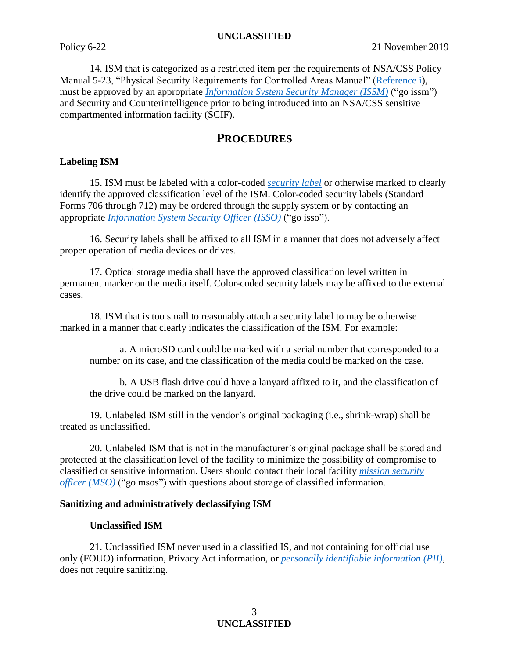14. ISM that is categorized as a restricted item per the requirements of NSA/CSS Policy Manual 5-23, "Physical Security Requirements for Controlled Areas Manual" [\(Reference i\)](#page-7-6), must be approved by an appropriate *[Information System Security Manager \(ISSM\)](#page-9-7)* ("go issm") and Security and Counterintelligence prior to being introduced into an NSA/CSS sensitive compartmented information facility (SCIF).

## **PROCEDURES**

#### **Labeling ISM**

15. ISM must be labeled with a color-coded *[security label](#page-10-2)* or otherwise marked to clearly identify the approved classification level of the ISM. Color-coded security labels (Standard Forms 706 through 712) may be ordered through the supply system or by contacting an appropriate *[Information System Security Officer \(ISSO\)](#page-9-8)* ("go isso").

16. Security labels shall be affixed to all ISM in a manner that does not adversely affect proper operation of media devices or drives.

17. Optical storage media shall have the approved classification level written in permanent marker on the media itself. Color-coded security labels may be affixed to the external cases.

18. ISM that is too small to reasonably attach a security label to may be otherwise marked in a manner that clearly indicates the classification of the ISM. For example:

a. A microSD card could be marked with a serial number that corresponded to a number on its case, and the classification of the media could be marked on the case.

b. A USB flash drive could have a lanyard affixed to it, and the classification of the drive could be marked on the lanyard.

19. Unlabeled ISM still in the vendor's original packaging (i.e., shrink-wrap) shall be treated as unclassified.

20. Unlabeled ISM that is not in the manufacturer's original package shall be stored and protected at the classification level of the facility to minimize the possibility of compromise to classified or sensitive information. Users should contact their local facility *[mission security](#page-9-9)  [officer \(MSO\)](#page-9-9)* ("go msos") with questions about storage of classified information.

#### **Sanitizing and administratively declassifying ISM**

#### **Unclassified ISM**

21. Unclassified ISM never used in a classified IS, and not containing for official use only (FOUO) information, Privacy Act information, or *[personally identifiable information \(PII\)](#page-9-10)*, does not require sanitizing.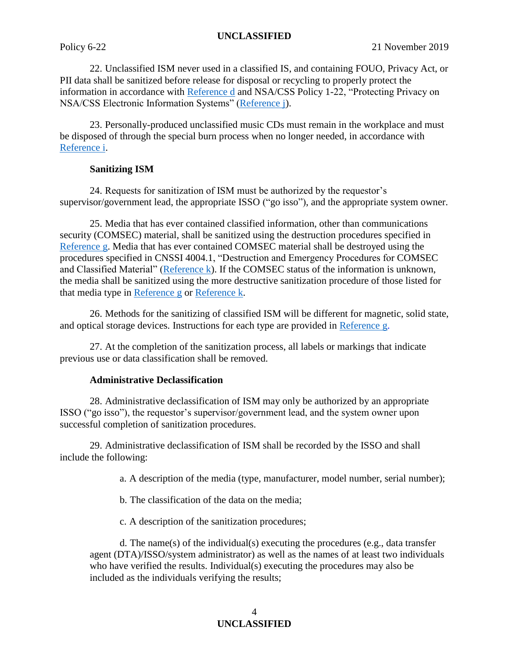22. Unclassified ISM never used in a classified IS, and containing FOUO, Privacy Act, or PII data shall be sanitized before release for disposal or recycling to properly protect the information in accordance with [Reference d](#page-7-1) and NSA/CSS Policy 1-22, "Protecting Privacy on NSA/CSS Electronic Information Systems" [\(Reference j\)](#page-8-4).

23. Personally-produced unclassified music CDs must remain in the workplace and must be disposed of through the special burn process when no longer needed, in accordance with [Reference i.](#page-7-6)

#### **Sanitizing ISM**

24. Requests for sanitization of ISM must be authorized by the requestor's supervisor/government lead, the appropriate ISSO ("go isso"), and the appropriate system owner.

25. Media that has ever contained classified information, other than communications security (COMSEC) material, shall be sanitized using the destruction procedures specified in [Reference g.](#page-7-4) Media that has ever contained COMSEC material shall be destroyed using the procedures specified in CNSSI 4004.1, "Destruction and Emergency Procedures for COMSEC and Classified Material" [\(Reference k\)](#page-8-5). If the COMSEC status of the information is unknown, the media shall be sanitized using the more destructive sanitization procedure of those listed for that media type in [Reference g](#page-7-4) or [Reference k.](#page-8-5)

26. Methods for the sanitizing of classified ISM will be different for magnetic, solid state, and optical storage devices. Instructions for each type are provided in [Reference g.](#page-7-4)

27. At the completion of the sanitization process, all labels or markings that indicate previous use or data classification shall be removed.

#### **Administrative Declassification**

28. Administrative declassification of ISM may only be authorized by an appropriate ISSO ("go isso"), the requestor's supervisor/government lead, and the system owner upon successful completion of sanitization procedures.

29. Administrative declassification of ISM shall be recorded by the ISSO and shall include the following:

a. A description of the media (type, manufacturer, model number, serial number);

b. The classification of the data on the media;

c. A description of the sanitization procedures;

d. The name(s) of the individual(s) executing the procedures (e.g., data transfer agent (DTA)/ISSO/system administrator) as well as the names of at least two individuals who have verified the results. Individual(s) executing the procedures may also be included as the individuals verifying the results;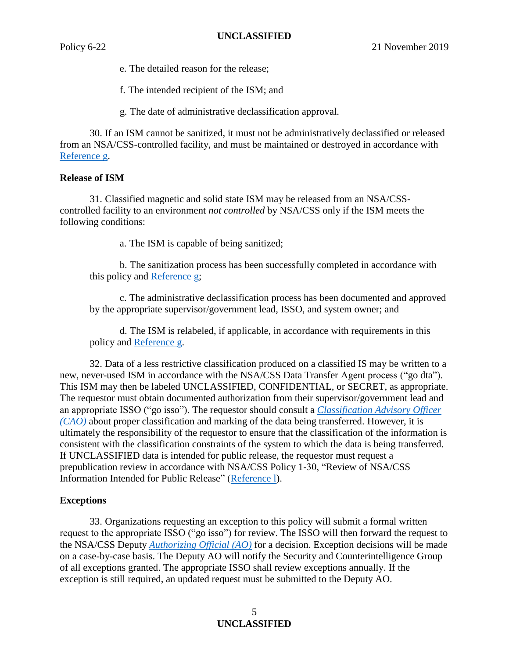e. The detailed reason for the release;

f. The intended recipient of the ISM; and

g. The date of administrative declassification approval.

30. If an ISM cannot be sanitized, it must not be administratively declassified or released from an NSA/CSS-controlled facility, and must be maintained or destroyed in accordance with [Reference g.](#page-7-4)

#### **Release of ISM**

31. Classified magnetic and solid state ISM may be released from an NSA/CSScontrolled facility to an environment *not controlled* by NSA/CSS only if the ISM meets the following conditions:

a. The ISM is capable of being sanitized;

b. The sanitization process has been successfully completed in accordance with this policy and [Reference g;](#page-7-4)

c. The administrative declassification process has been documented and approved by the appropriate supervisor/government lead, ISSO, and system owner; and

d. The ISM is relabeled, if applicable, in accordance with requirements in this policy and [Reference g.](#page-7-4)

<span id="page-4-0"></span>32. Data of a less restrictive classification produced on a classified IS may be written to a new, never-used ISM in accordance with the NSA/CSS Data Transfer Agent process ("go dta"). This ISM may then be labeled UNCLASSIFIED, CONFIDENTIAL, or SECRET, as appropriate. The requestor must obtain documented authorization from their supervisor/government lead and an appropriate ISSO ("go isso"). The requestor should consult a *[Classification Advisory Officer](#page-8-6)  [\(CAO\)](#page-8-6)* about proper classification and marking of the data being transferred. However, it is ultimately the responsibility of the requestor to ensure that the classification of the information is consistent with the classification constraints of the system to which the data is being transferred. If UNCLASSIFIED data is intended for public release, the requestor must request a prepublication review in accordance with NSA/CSS Policy 1-30, "Review of NSA/CSS Information Intended for Public Release" [\(Reference l\)](#page-8-7).

#### <span id="page-4-1"></span>**Exceptions**

33. Organizations requesting an exception to this policy will submit a formal written request to the appropriate ISSO ("go isso") for review. The ISSO will then forward the request to the NSA/CSS Deputy *[Authorizing Official \(AO\)](#page-8-8)* for a decision. Exception decisions will be made on a case-by-case basis. The Deputy AO will notify the Security and Counterintelligence Group of all exceptions granted. The appropriate ISSO shall review exceptions annually. If the exception is still required, an updated request must be submitted to the Deputy AO.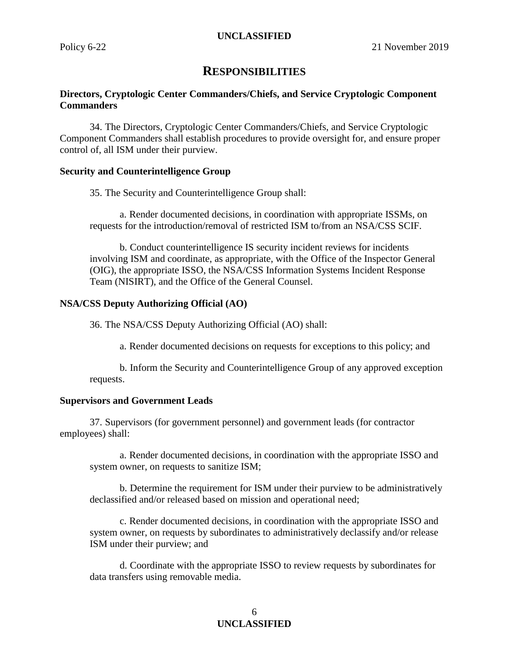## **RESPONSIBILITIES**

#### **Directors, Cryptologic Center Commanders/Chiefs, and Service Cryptologic Component Commanders**

34. The Directors, Cryptologic Center Commanders/Chiefs, and Service Cryptologic Component Commanders shall establish procedures to provide oversight for, and ensure proper control of, all ISM under their purview.

#### **Security and Counterintelligence Group**

35. The Security and Counterintelligence Group shall:

a. Render documented decisions, in coordination with appropriate ISSMs, on requests for the introduction/removal of restricted ISM to/from an NSA/CSS SCIF.

b. Conduct counterintelligence IS security incident reviews for incidents involving ISM and coordinate, as appropriate, with the Office of the Inspector General (OIG), the appropriate ISSO, the NSA/CSS Information Systems Incident Response Team (NISIRT), and the Office of the General Counsel.

#### **NSA/CSS Deputy Authorizing Official (AO)**

36. The NSA/CSS Deputy Authorizing Official (AO) shall:

a. Render documented decisions on requests for exceptions to this policy; and

b. Inform the Security and Counterintelligence Group of any approved exception requests.

#### **Supervisors and Government Leads**

37. Supervisors (for government personnel) and government leads (for contractor employees) shall:

a. Render documented decisions, in coordination with the appropriate ISSO and system owner, on requests to sanitize ISM;

b. Determine the requirement for ISM under their purview to be administratively declassified and/or released based on mission and operational need;

c. Render documented decisions, in coordination with the appropriate ISSO and system owner, on requests by subordinates to administratively declassify and/or release ISM under their purview; and

d. Coordinate with the appropriate ISSO to review requests by subordinates for data transfers using removable media.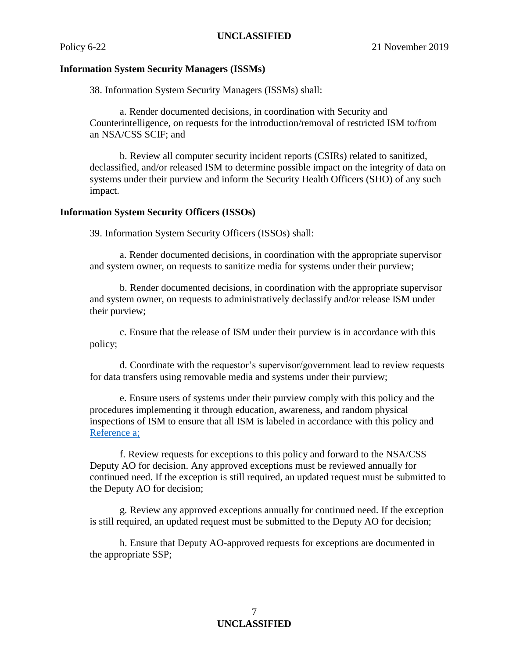#### **Information System Security Managers (ISSMs)**

38. Information System Security Managers (ISSMs) shall:

a. Render documented decisions, in coordination with Security and Counterintelligence, on requests for the introduction/removal of restricted ISM to/from an NSA/CSS SCIF; and

b. Review all computer security incident reports (CSIRs) related to sanitized, declassified, and/or released ISM to determine possible impact on the integrity of data on systems under their purview and inform the Security Health Officers (SHO) of any such impact.

#### **Information System Security Officers (ISSOs)**

39. Information System Security Officers (ISSOs) shall:

a. Render documented decisions, in coordination with the appropriate supervisor and system owner, on requests to sanitize media for systems under their purview;

b. Render documented decisions, in coordination with the appropriate supervisor and system owner, on requests to administratively declassify and/or release ISM under their purview;

c. Ensure that the release of ISM under their purview is in accordance with this policy;

d. Coordinate with the requestor's supervisor/government lead to review requests for data transfers using removable media and systems under their purview;

e. Ensure users of systems under their purview comply with this policy and the procedures implementing it through education, awareness, and random physical inspections of ISM to ensure that all ISM is labeled in accordance with this policy and [Reference a;](#page-7-0)

f. Review requests for exceptions to this policy and forward to the NSA/CSS Deputy AO for decision. Any approved exceptions must be reviewed annually for continued need. If the exception is still required, an updated request must be submitted to the Deputy AO for decision;

g. Review any approved exceptions annually for continued need. If the exception is still required, an updated request must be submitted to the Deputy AO for decision;

h. Ensure that Deputy AO-approved requests for exceptions are documented in the appropriate SSP;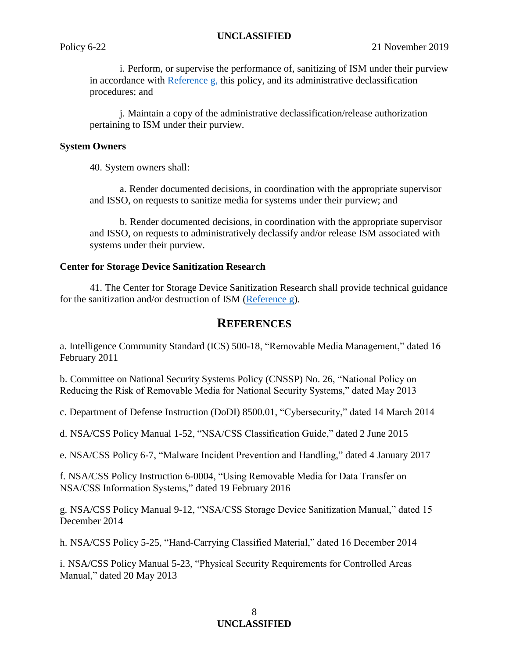i. Perform, or supervise the performance of, sanitizing of ISM under their purview in accordance with [Reference g,](#page-7-4) this policy, and its administrative declassification procedures; and

j. Maintain a copy of the administrative declassification/release authorization pertaining to ISM under their purview.

#### **System Owners**

40. System owners shall:

a. Render documented decisions, in coordination with the appropriate supervisor and ISSO, on requests to sanitize media for systems under their purview; and

b. Render documented decisions, in coordination with the appropriate supervisor and ISSO, on requests to administratively declassify and/or release ISM associated with systems under their purview.

#### **Center for Storage Device Sanitization Research**

41. The Center for Storage Device Sanitization Research shall provide technical guidance for the sanitization and/or destruction of ISM [\(Reference g\)](#page-7-4).

### **REFERENCES**

<span id="page-7-0"></span>a. Intelligence Community Standard (ICS) 500-18, "Removable Media Management," dated 16 February 2011

b. Committee on National Security Systems Policy (CNSSP) No. 26, "National Policy on Reducing the Risk of Removable Media for National Security Systems," dated May 2013

c. Department of Defense Instruction (DoDI) 8500.01, "Cybersecurity," dated 14 March 2014

<span id="page-7-1"></span>d. NSA/CSS Policy Manual 1-52, "NSA/CSS Classification Guide," dated 2 June 2015

<span id="page-7-2"></span>e. NSA/CSS Policy 6-7, "Malware Incident Prevention and Handling," dated 4 January 2017

<span id="page-7-3"></span>f. NSA/CSS Policy Instruction 6-0004, "Using Removable Media for Data Transfer on NSA/CSS Information Systems," dated 19 February 2016

<span id="page-7-4"></span>g. NSA/CSS Policy Manual 9-12, "NSA/CSS Storage Device Sanitization Manual," dated 15 December 2014

<span id="page-7-5"></span>h. NSA/CSS Policy 5-25, "Hand-Carrying Classified Material," dated 16 December 2014

<span id="page-7-6"></span>i. NSA/CSS Policy Manual 5-23, "Physical Security Requirements for Controlled Areas Manual," dated 20 May 2013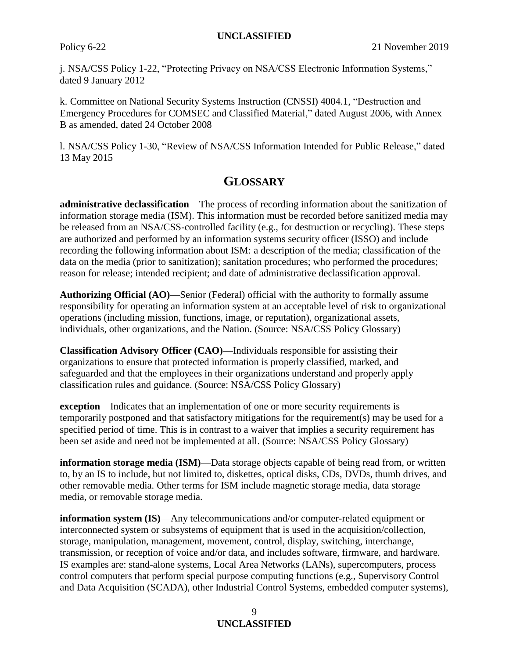<span id="page-8-4"></span>j. NSA/CSS Policy 1-22, "Protecting Privacy on NSA/CSS Electronic Information Systems," dated 9 January 2012

<span id="page-8-5"></span>k. Committee on National Security Systems Instruction (CNSSI) 4004.1, "Destruction and Emergency Procedures for COMSEC and Classified Material," dated August 2006, with Annex B as amended, dated 24 October 2008

<span id="page-8-7"></span>l. NSA/CSS Policy 1-30, "Review of NSA/CSS Information Intended for Public Release," dated 13 May 2015

## **GLOSSARY**

<span id="page-8-1"></span>**administrative declassification**—The process of recording information about the sanitization of information storage media (ISM). This information must be recorded before sanitized media may be released from an NSA/CSS-controlled facility (e.g., for destruction or recycling). These steps are authorized and performed by an information systems security officer (ISSO) and include recording the following information about ISM: a description of the media; classification of the data on the media (prior to sanitization); sanitation procedures; who performed the procedures; reason for release; intended recipient; and date of administrative declassification approval.

<span id="page-8-8"></span>**Authorizing Official (AO)**—Senior (Federal) official with the authority to formally assume responsibility for operating an information system at an acceptable level of risk to organizational operations (including mission, functions, image, or reputation), organizational assets, individuals, other organizations, and the Nation. (Source: NSA/CSS Policy Glossary)

<span id="page-8-6"></span>**Classification Advisory Officer (CAO)—**Individuals responsible for assisting their organizations to ensure that protected information is properly classified, marked, and safeguarded and that the employees in their organizations understand and properly apply classification rules and guidance. (Source: NSA/CSS Policy Glossary)

<span id="page-8-3"></span>**exception**—Indicates that an implementation of one or more security requirements is temporarily postponed and that satisfactory mitigations for the requirement(s) may be used for a specified period of time. This is in contrast to a waiver that implies a security requirement has been set aside and need not be implemented at all. (Source: NSA/CSS Policy Glossary)

<span id="page-8-0"></span>**information storage media (ISM)—Data storage objects capable of being read from, or written** to, by an IS to include, but not limited to, diskettes, optical disks, CDs, DVDs, thumb drives, and other removable media. Other terms for ISM include magnetic storage media, data storage media, or removable storage media.

<span id="page-8-2"></span>**information system (IS)**—Any telecommunications and/or computer-related equipment or interconnected system or subsystems of equipment that is used in the acquisition/collection, storage, manipulation, management, movement, control, display, switching, interchange, transmission, or reception of voice and/or data, and includes software, firmware, and hardware. IS examples are: stand-alone systems, Local Area Networks (LANs), supercomputers, process control computers that perform special purpose computing functions (e.g., Supervisory Control and Data Acquisition (SCADA), other Industrial Control Systems, embedded computer systems),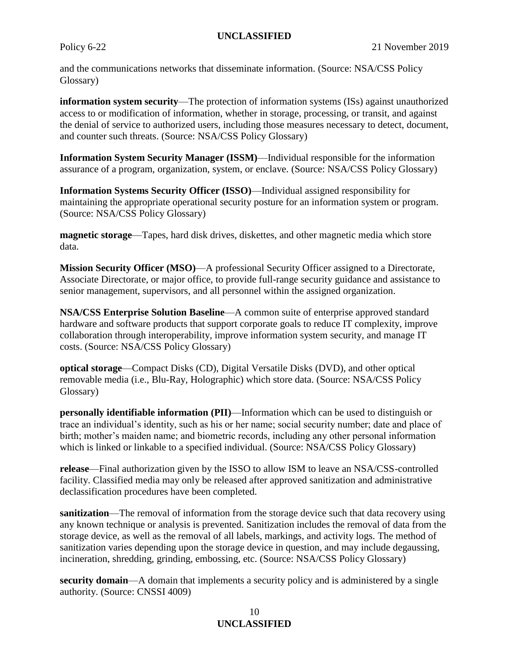and the communications networks that disseminate information. (Source: NSA/CSS Policy Glossary)

<span id="page-9-3"></span>**information system security**—The protection of information systems (ISs) against unauthorized access to or modification of information, whether in storage, processing, or transit, and against the denial of service to authorized users, including those measures necessary to detect, document, and counter such threats. (Source: NSA/CSS Policy Glossary)

<span id="page-9-7"></span>**Information System Security Manager (ISSM)**—Individual responsible for the information assurance of a program, organization, system, or enclave. (Source: NSA/CSS Policy Glossary)

<span id="page-9-8"></span>**Information Systems Security Officer (ISSO)**—Individual assigned responsibility for maintaining the appropriate operational security posture for an information system or program. (Source: NSA/CSS Policy Glossary)

<span id="page-9-1"></span>**magnetic storage**—Tapes, hard disk drives, diskettes, and other magnetic media which store data.

<span id="page-9-9"></span>**Mission Security Officer (MSO)**—A professional Security Officer assigned to a Directorate, Associate Directorate, or major office, to provide full-range security guidance and assistance to senior management, supervisors, and all personnel within the assigned organization.

<span id="page-9-5"></span>**NSA/CSS Enterprise Solution Baseline**—A common suite of enterprise approved standard hardware and software products that support corporate goals to reduce IT complexity, improve collaboration through interoperability, improve information system security, and manage IT costs. (Source: NSA/CSS Policy Glossary)

<span id="page-9-2"></span>**optical storage**—Compact Disks (CD), Digital Versatile Disks (DVD), and other optical removable media (i.e., Blu-Ray, Holographic) which store data. (Source: NSA/CSS Policy Glossary)

<span id="page-9-10"></span>**personally identifiable information (PII)**—Information which can be used to distinguish or trace an individual's identity, such as his or her name; social security number; date and place of birth; mother's maiden name; and biometric records, including any other personal information which is linked or linkable to a specified individual. (Source: NSA/CSS Policy Glossary)

<span id="page-9-0"></span>**release**—Final authorization given by the ISSO to allow ISM to leave an NSA/CSS-controlled facility. Classified media may only be released after approved sanitization and administrative declassification procedures have been completed.

<span id="page-9-6"></span>**sanitization—The removal of information from the storage device such that data recovery using** any known technique or analysis is prevented. Sanitization includes the removal of data from the storage device, as well as the removal of all labels, markings, and activity logs. The method of sanitization varies depending upon the storage device in question, and may include degaussing, incineration, shredding, grinding, embossing, etc. (Source: NSA/CSS Policy Glossary)

<span id="page-9-4"></span>**security domain**—A domain that implements a security policy and is administered by a single authority. (Source: CNSSI 4009)